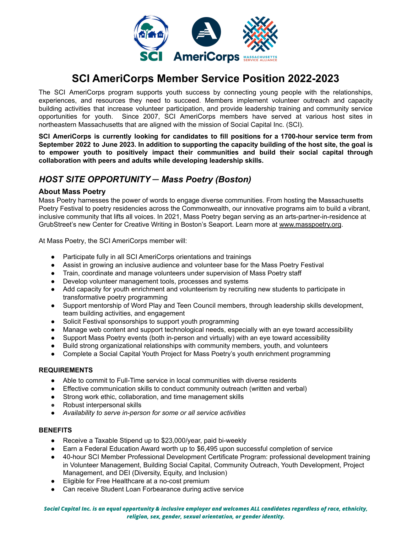

# **SCI AmeriCorps Member Service Position 2022-2023**

The SCI AmeriCorps program supports youth success by connecting young people with the relationships, experiences, and resources they need to succeed. Members implement volunteer outreach and capacity building activities that increase volunteer participation, and provide leadership training and community service opportunities for youth. Since 2007, SCI AmeriCorps members have served at various host sites in northeastern Massachusetts that are aligned with the mission of Social Capital Inc. (SCI).

**SCI AmeriCorps is currently looking for candidates to fill positions for a 1700-hour service term from** September 2022 to June 2023. In addition to supporting the capacity building of the host site, the goal is **to empower youth to positively impact their communities and build their social capital through collaboration with peers and adults while developing leadership skills.**

## *HOST SITE OPPORTUNITY ─ Mass Poetry (Boston)*

### **About Mass Poetry**

Mass Poetry harnesses the power of words to engage diverse communities. From hosting the Massachusetts Poetry Festival to poetry residencies across the Commonwealth, our innovative programs aim to build a vibrant, inclusive community that lifts all voices. In 2021, Mass Poetry began serving as an arts-partner-in-residence at GrubStreet's new Center for Creative Writing in Boston's Seaport. Learn more at [www.masspoetry.org](http://www.masspoetry.org).

At Mass Poetry, the SCI AmeriCorps member will:

- Participate fully in all SCI AmeriCorps orientations and trainings
- Assist in growing an inclusive audience and volunteer base for the Mass Poetry Festival
- Train, coordinate and manage volunteers under supervision of Mass Poetry staff
- Develop volunteer management tools, processes and systems
- Add capacity for youth enrichment and volunteerism by recruiting new students to participate in transformative poetry programming
- Support mentorship of Word Play and Teen Council members, through leadership skills development, team building activities, and engagement
- Solicit Festival sponsorships to support youth programming
- Manage web content and support technological needs, especially with an eye toward accessibility
- Support Mass Poetry events (both in-person and virtually) with an eye toward accessibility
- Build strong organizational relationships with community members, youth, and volunteers
- Complete a Social Capital Youth Project for Mass Poetry's youth enrichment programming

#### **REQUIREMENTS**

- Able to commit to Full-Time service in local communities with diverse residents
- Effective communication skills to conduct community outreach (written and verbal)
- Strong work ethic, collaboration, and time management skills
- Robust interpersonal skills
- *● Availability to serve in-person for some or all service activities*

#### **BENEFITS**

- Receive a Taxable Stipend up to \$23,000/year, paid bi-weekly
- Earn a Federal Education Award worth up to \$6,495 upon successful completion of service
- 40-hour SCI Member Professional Development Certificate Program: professional development training in Volunteer Management, Building Social Capital, Community Outreach, Youth Development, Project Management, and DEI (Diversity, Equity, and Inclusion)
- Eligible for Free Healthcare at a no-cost premium
- Can receive Student Loan Forbearance during active service